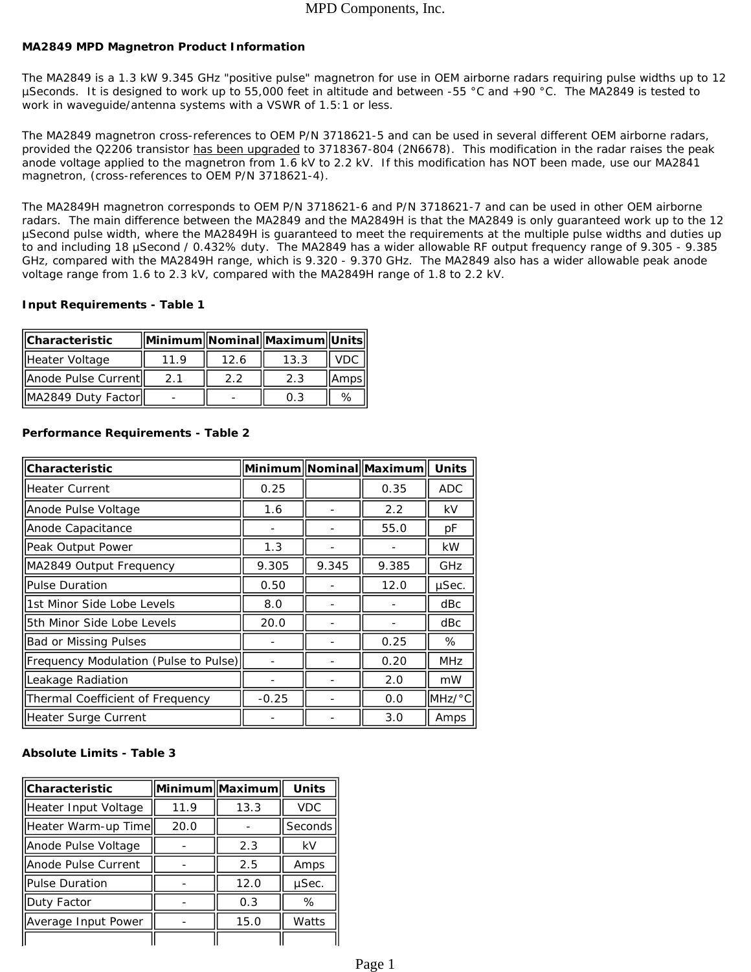### **MA2849 MPD Magnetron Product Information**

The MA2849 is a 1.3 kW 9.345 GHz "positive pulse" magnetron for use in OEM airborne radars requiring pulse widths up to 12 µSeconds. It is designed to work up to 55,000 feet in altitude and between -55 °C and +90 °C. The MA2849 is tested to work in waveguide/antenna systems with a VSWR of 1.5:1 or less.

The MA2849 magnetron cross-references to OEM P/N 3718621-5 and can be used in several different OEM airborne radars, *provided the Q2206 transistor has been upgraded to 3718367-804 (2N6678). This modification in the radar raises the peak anode voltage applied to the magnetron from 1.6 kV to 2.2 kV.* If this modification has NOT been made, use our MA2841 magnetron, (cross-references to OEM P/N 3718621-4).

The MA2849H magnetron corresponds to OEM P/N 3718621-6 and P/N 3718621-7 and can be used in other OEM airborne radars. The main difference between the MA2849 and the MA2849H is that the MA2849 is only guaranteed work up to the 12 µSecond pulse width, where the MA2849H is guaranteed to meet the requirements at the multiple pulse widths and duties up to and including 18 µSecond / 0.432% duty. The MA2849 has a wider allowable RF output frequency range of 9.305 - 9.385 GHz, compared with the MA2849H range, which is 9.320 - 9.370 GHz. The MA2849 also has a wider allowable peak anode voltage range from 1.6 to 2.3 kV, compared with the MA2849H range of 1.8 to 2.2 kV.

#### **Input Requirements - Table 1**

| <b>Characteristic</b> |      |      | Minimum Nominal Maximum Units |       |
|-----------------------|------|------|-------------------------------|-------|
| Heater Voltage        | 11.9 | 12.6 | 13.3                          | . VDC |
| Anode Pulse Current   | 21   | 2.2  | 2.3                           | Ampsl |
| MA2849 Duty Factor    |      |      | 0.3                           | %     |

| Characteristic                        |         |       | Minimum Nominal Maximum | <b>Units</b> |
|---------------------------------------|---------|-------|-------------------------|--------------|
| lHeater Current                       | 0.25    |       | 0.35                    | <b>ADC</b>   |
| Anode Pulse Voltage                   | 1.6     |       | 2.2                     | kV           |
| Anode Capacitance                     |         |       | 55.0                    | рF           |
| Peak Output Power                     | 1.3     |       |                         | <b>kW</b>    |
| MA2849 Output Frequency               | 9.305   | 9.345 | 9.385                   | GHz          |
| Pulse Duration                        | 0.50    |       | 12.0                    | µSec.        |
| 1st Minor Side Lobe Levels            | 8.0     |       |                         | dBc          |
| 5th Minor Side Lobe Levels            | 20.0    |       |                         | dBc          |
| <b>Bad or Missing Pulses</b>          |         |       | 0.25                    | %            |
| Frequency Modulation (Pulse to Pulse) |         |       | 0.20                    | <b>MHz</b>   |
| Leakage Radiation                     |         |       | 2.0                     | mW           |
| Thermal Coefficient of Frequency      | $-0.25$ |       | 0.0                     | MHz/°C       |
| Heater Surge Current                  |         |       | 3.0                     | Amps         |

#### **Performance Requirements - Table 2**

## **Absolute Limits - Table 3**

| Characteristic        |      | Minimum  Maximum | <b>Units</b> |  |
|-----------------------|------|------------------|--------------|--|
| Heater Input Voltage  | 11.9 | 13.3             | <b>VDC</b>   |  |
| Heater Warm-up Time   | 20.0 |                  | Seconds      |  |
| Anode Pulse Voltage   |      | 2.3              | kV           |  |
| Anode Pulse Current   |      | 2.5              | Amps         |  |
| <b>Pulse Duration</b> |      | 12.0             | µSec.        |  |
| Duty Factor           |      | 0.3              | ℅            |  |
| Average Input Power   |      | 15.0             | Watts        |  |
|                       |      |                  |              |  |